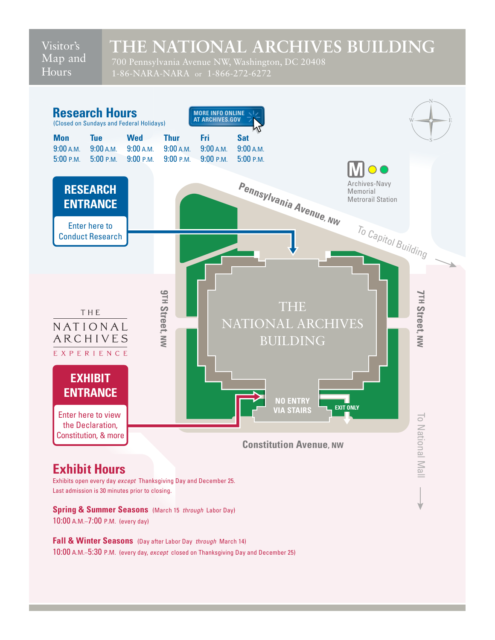Visitor's Map and **Hours** 

## **THE NATIONAL ARCHIVES BUILDING**

 700 Pennsylvania Avenue NW, Washington, DC 20408 1-86-NARA-NARA or 1-866-272-6272



Exhibits open every day except Thanksgiving Day and December 25. Last admission is 30 minutes prior to closing.

Spring & Summer Seasons (March 15 through Labor Day) 10:00 A.M.–7:00 P.M. (every day)

 **Fall & Winter Seasons** (Day after Labor Day through March 14) 10:00 A.M.–5:30 P.M. (every day, except closed on Thanksgiving Day and December 25)